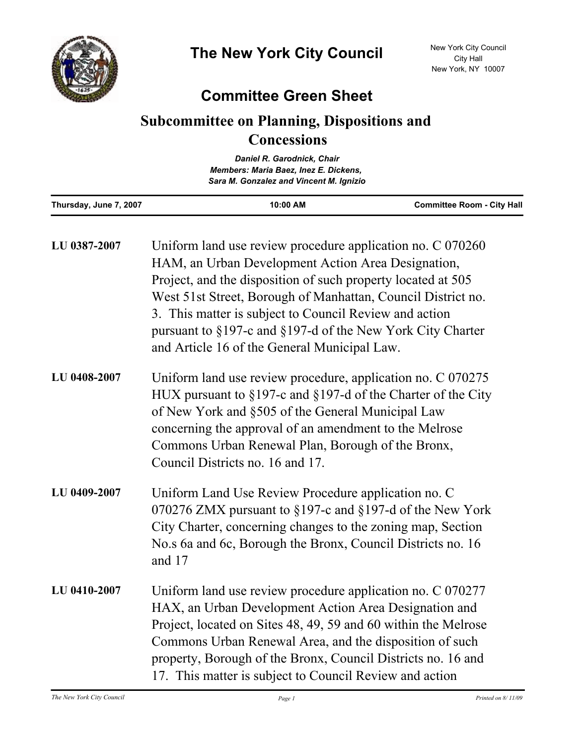

## **Committee Green Sheet**

## **Subcommittee on Planning, Dispositions and Concessions**

| Daniel R. Garodnick, Chair<br>Members: Maria Baez, Inez E. Dickens,<br>Sara M. Gonzalez and Vincent M. Ignizio |                                                                                                                                                                                  |                                   |  |
|----------------------------------------------------------------------------------------------------------------|----------------------------------------------------------------------------------------------------------------------------------------------------------------------------------|-----------------------------------|--|
| Thursday, June 7, 2007                                                                                         | 10:00 AM                                                                                                                                                                         | <b>Committee Room - City Hall</b> |  |
| LU 0387-2007                                                                                                   | Uniform land use review procedure application no. C 070260<br>HAM, an Urban Development Action Area Designation,<br>Project, and the disposition of such property located at 505 |                                   |  |

|              | West 51st Street, Borough of Manhattan, Council District no.<br>3. This matter is subject to Council Review and action<br>pursuant to §197-c and §197-d of the New York City Charter<br>and Article 16 of the General Municipal Law. |
|--------------|--------------------------------------------------------------------------------------------------------------------------------------------------------------------------------------------------------------------------------------|
| LU 0408-2007 | Uniform land use review procedure, application no. C 070275<br>HUX pursuant to $\S 197$ -c and $\S 197$ -d of the Charter of the City<br>of New York and §505 of the General Municipal Law                                           |

- concerning the approval of an amendment to the Melrose Commons Urban Renewal Plan, Borough of the Bronx, Council Districts no. 16 and 17.
- Uniform Land Use Review Procedure application no. C 070276 ZMX pursuant to §197-c and §197-d of the New York City Charter, concerning changes to the zoning map, Section No.s 6a and 6c, Borough the Bronx, Council Districts no. 16 and 17 **LU 0409-2007**
- Uniform land use review procedure application no. C 070277 HAX, an Urban Development Action Area Designation and Project, located on Sites 48, 49, 59 and 60 within the Melrose Commons Urban Renewal Area, and the disposition of such property, Borough of the Bronx, Council Districts no. 16 and 17. This matter is subject to Council Review and action **LU 0410-2007**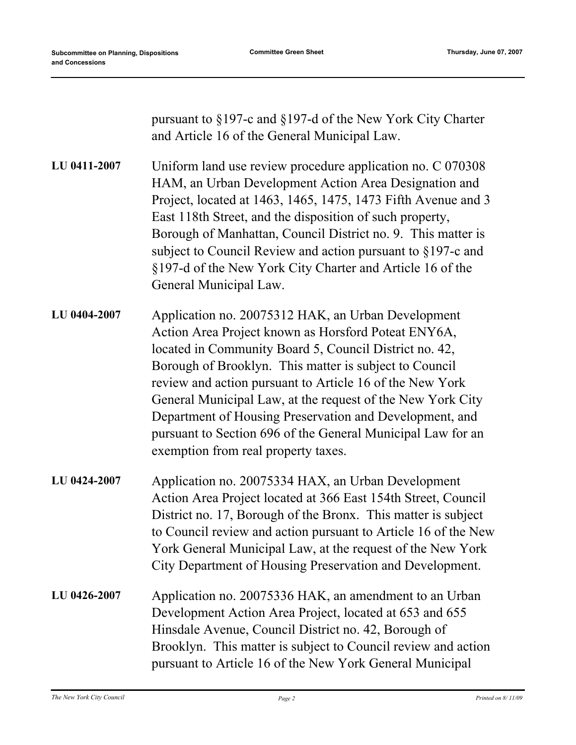| pursuant to $\S 197$ -c and $\S 197$ -d of the New York City Charter |
|----------------------------------------------------------------------|
| and Article 16 of the General Municipal Law.                         |

Uniform land use review procedure application no. C 070308 HAM, an Urban Development Action Area Designation and Project, located at 1463, 1465, 1475, 1473 Fifth Avenue and 3 East 118th Street, and the disposition of such property, Borough of Manhattan, Council District no. 9. This matter is subject to Council Review and action pursuant to §197-c and §197-d of the New York City Charter and Article 16 of the General Municipal Law. **LU 0411-2007**

- Application no. 20075312 HAK, an Urban Development Action Area Project known as Horsford Poteat ENY6A, located in Community Board 5, Council District no. 42, Borough of Brooklyn. This matter is subject to Council review and action pursuant to Article 16 of the New York General Municipal Law, at the request of the New York City Department of Housing Preservation and Development, and pursuant to Section 696 of the General Municipal Law for an exemption from real property taxes. **LU 0404-2007**
- Application no. 20075334 HAX, an Urban Development Action Area Project located at 366 East 154th Street, Council District no. 17, Borough of the Bronx. This matter is subject to Council review and action pursuant to Article 16 of the New York General Municipal Law, at the request of the New York City Department of Housing Preservation and Development. **LU 0424-2007**
- Application no. 20075336 HAK, an amendment to an Urban Development Action Area Project, located at 653 and 655 Hinsdale Avenue, Council District no. 42, Borough of Brooklyn. This matter is subject to Council review and action pursuant to Article 16 of the New York General Municipal **LU 0426-2007**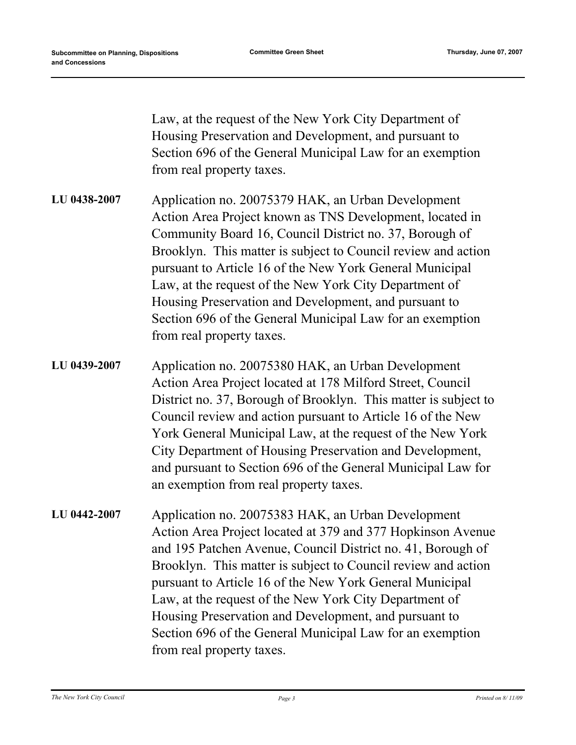Law, at the request of the New York City Department of Housing Preservation and Development, and pursuant to Section 696 of the General Municipal Law for an exemption from real property taxes.

- Application no. 20075379 HAK, an Urban Development Action Area Project known as TNS Development, located in Community Board 16, Council District no. 37, Borough of Brooklyn. This matter is subject to Council review and action pursuant to Article 16 of the New York General Municipal Law, at the request of the New York City Department of Housing Preservation and Development, and pursuant to Section 696 of the General Municipal Law for an exemption from real property taxes. **LU 0438-2007**
- Application no. 20075380 HAK, an Urban Development Action Area Project located at 178 Milford Street, Council District no. 37, Borough of Brooklyn. This matter is subject to Council review and action pursuant to Article 16 of the New York General Municipal Law, at the request of the New York City Department of Housing Preservation and Development, and pursuant to Section 696 of the General Municipal Law for an exemption from real property taxes. **LU 0439-2007**
- Application no. 20075383 HAK, an Urban Development Action Area Project located at 379 and 377 Hopkinson Avenue and 195 Patchen Avenue, Council District no. 41, Borough of Brooklyn. This matter is subject to Council review and action pursuant to Article 16 of the New York General Municipal Law, at the request of the New York City Department of Housing Preservation and Development, and pursuant to Section 696 of the General Municipal Law for an exemption from real property taxes. **LU 0442-2007**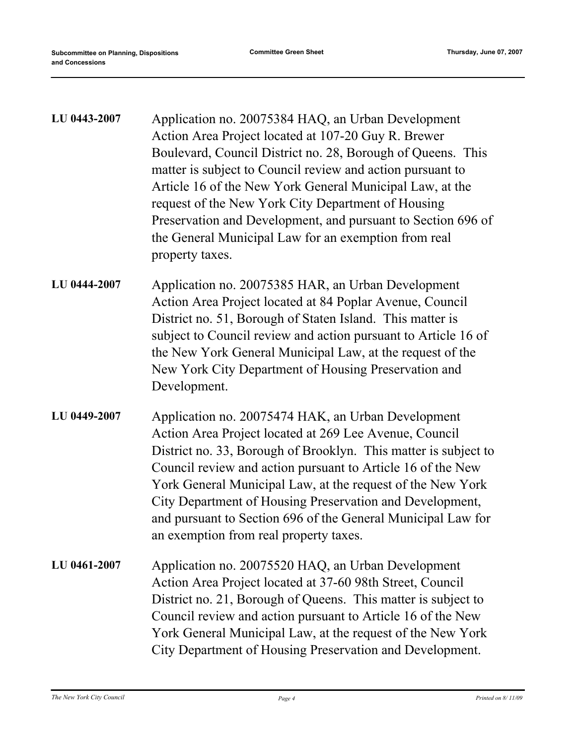| LU 0443-2007 | Application no. 20075384 HAQ, an Urban Development<br>Action Area Project located at 107-20 Guy R. Brewer<br>Boulevard, Council District no. 28, Borough of Queens. This<br>matter is subject to Council review and action pursuant to<br>Article 16 of the New York General Municipal Law, at the<br>request of the New York City Department of Housing<br>Preservation and Development, and pursuant to Section 696 of<br>the General Municipal Law for an exemption from real<br>property taxes. |
|--------------|-----------------------------------------------------------------------------------------------------------------------------------------------------------------------------------------------------------------------------------------------------------------------------------------------------------------------------------------------------------------------------------------------------------------------------------------------------------------------------------------------------|
| LU 0444-2007 | Application no. 20075385 HAR, an Urban Development<br>Action Area Project located at 84 Poplar Avenue, Council<br>District no. 51, Borough of Staten Island. This matter is<br>subject to Council review and action pursuant to Article 16 of<br>the New York General Municipal Law, at the request of the<br>New York City Department of Housing Preservation and<br>Development.                                                                                                                  |
| LU 0449-2007 | Application no. 20075474 HAK, an Urban Development<br>Action Area Project located at 269 Lee Avenue, Council<br>District no. 33, Borough of Brooklyn. This matter is subject to<br>Council review and action pursuant to Article 16 of the New<br>York General Municipal Law, at the request of the New York<br>City Department of Housing Preservation and Development,<br>and pursuant to Section 696 of the General Municipal Law for<br>an exemption from real property taxes.                  |
| LU 0461-2007 | Application no. 20075520 HAQ, an Urban Development<br>Action Area Project located at 37-60 98th Street, Council<br>District no. 21, Borough of Queens. This matter is subject to<br>Council review and action pursuant to Article 16 of the New<br>York General Municipal Law, at the request of the New York<br>City Department of Housing Preservation and Development.                                                                                                                           |